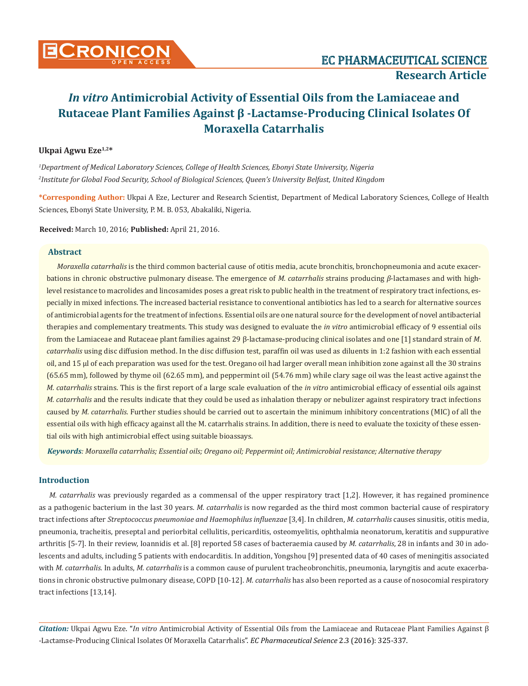

# **Ukpai Agwu Eze1,2\***

*1 Department of Medical Laboratory Sciences, College of Health Sciences, Ebonyi State University, Nigeria 2 Institute for Global Food Security, School of Biological Sciences, Queen's University Belfast, United Kingdom*

**\*Corresponding Author:** Ukpai A Eze, Lecturer and Research Scientist, Department of Medical Laboratory Sciences, College of Health Sciences, Ebonyi State University, P. M. B. 053, Abakaliki, Nigeria.

**Received:** March 10, 2016; **Published:** April 21, 2016.

## **Abstract**

*Moraxella catarrhalis* is the third common bacterial cause of otitis media, acute bronchitis, bronchopneumonia and acute exacerbations in chronic obstructive pulmonary disease. The emergence of *M. catarrhalis* strains producing *β*-lactamases and with highlevel resistance to macrolides and lincosamides poses a great risk to public health in the treatment of respiratory tract infections, especially in mixed infections. The increased bacterial resistance to conventional antibiotics has led to a search for alternative sources of antimicrobial agents for the treatment of infections. Essential oils are one natural source for the development of novel antibacterial therapies and complementary treatments. This study was designed to evaluate the *in vitro* antimicrobial efficacy of 9 essential oils from the Lamiaceae and Rutaceae plant families against 29 β-lactamase-producing clinical isolates and one [1] standard strain of *M*. *catarrhalis* using disc diffusion method. In the disc diffusion test, paraffin oil was used as diluents in 1:2 fashion with each essential oil, and 15 µl of each preparation was used for the test. Oregano oil had larger overall mean inhibition zone against all the 30 strains (65.65 mm), followed by thyme oil (62.65 mm), and peppermint oil (54.76 mm) while clary sage oil was the least active against the *M. catarrhalis* strains. This is the first report of a large scale evaluation of the *in vitro* antimicrobial efficacy of essential oils against *M. catarrhalis* and the results indicate that they could be used as inhalation therapy or nebulizer against respiratory tract infections caused by *M. catarrhalis*. Further studies should be carried out to ascertain the minimum inhibitory concentrations (MIC) of all the essential oils with high efficacy against all the M. catarrhalis strains. In addition, there is need to evaluate the toxicity of these essential oils with high antimicrobial effect using suitable bioassays.

*Keywords: Moraxella catarrhalis; Essential oils; Oregano oil; Peppermint oil; Antimicrobial resistance; Alternative therapy*

# **Introduction**

*M. catarrhalis* was previously regarded as a commensal of the upper respiratory tract [1,2]. However, it has regained prominence as a pathogenic bacterium in the last 30 years. *M. catarrhalis* is now regarded as the third most common bacterial cause of respiratory tract infections after *Streptococcus pneumoniae and Haemophilus influenzae* [3,4]. In children, *M. catarrhalis* causes sinusitis, otitis media, pneumonia, tracheitis, preseptal and periorbital cellulitis, pericarditis, osteomyelitis, ophthalmia neonatorum, keratitis and suppurative arthritis [5-7]. In their review, Ioannidis et al. [8] reported 58 cases of bacteraemia caused by *M. catarrhalis*, 28 in infants and 30 in adolescents and adults, including 5 patients with endocarditis. In addition, Yongshou [9] presented data of 40 cases of meningitis associated with *M. catarrhalis*. In adults, *M. catarrhalis* is a common cause of purulent tracheobronchitis, pneumonia, laryngitis and acute exacerbations in chronic obstructive pulmonary disease, COPD [10-12]. *M. catarrhalis* has also been reported as a cause of nosocomial respiratory tract infections [13,14].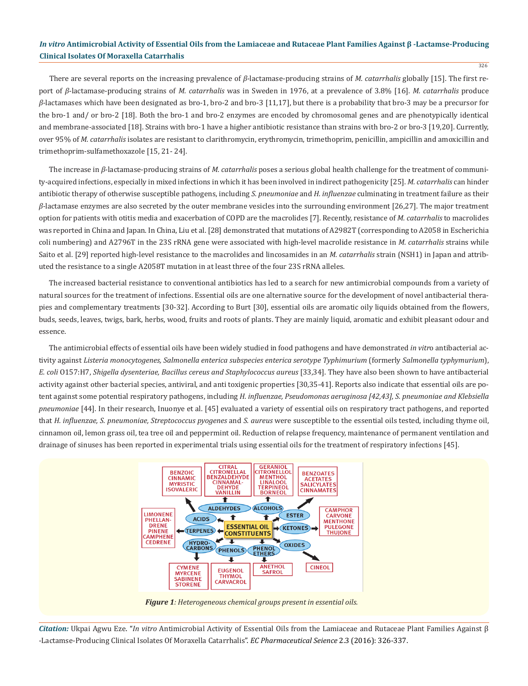There are several reports on the increasing prevalence of *β*-lactamase-producing strains of *M. catarrhalis* globally [15]. The first report of *β*-lactamase-producing strains of *M. catarrhalis* was in Sweden in 1976, at a prevalence of 3.8% [16]. *M. catarrhalis* produce *β*-lactamases which have been designated as bro-1, bro-2 and bro-3 [11,17], but there is a probability that bro-3 may be a precursor for the bro-1 and/ or bro-2 [18]. Both the bro-1 and bro-2 enzymes are encoded by chromosomal genes and are phenotypically identical and membrane-associated [18]. Strains with bro-1 have a higher antibiotic resistance than strains with bro-2 or bro-3 [19,20]. Currently, over 95% of *M. catarrhalis* isolates are resistant to clarithromycin, erythromycin, trimethoprim, penicillin, ampicillin and amoxicillin and trimethoprim-sulfamethoxazole [15, 21- 24].

The increase in *β*-lactamase-producing strains of *M. catarrhalis* poses a serious global health challenge for the treatment of community-acquired infections, especially in mixed infections in which it has been involved in indirect pathogenicity [25]. *M. catarrhalis* can hinder antibiotic therapy of otherwise susceptible pathogens, including *S. pneumoniae* and *H. influenzae* culminating in treatment failure as their *β-*lactamase enzymes are also secreted by the outer membrane vesicles into the surrounding environment [26,27]. The major treatment option for patients with otitis media and exacerbation of COPD are the macrolides [7]. Recently, resistance of *M. catarrhalis* to macrolides was reported in China and Japan. In China, Liu et al. [28] demonstrated that mutations of A2982T (corresponding to A2058 in Escherichia coli numbering) and A2796T in the 23S rRNA gene were associated with high-level macrolide resistance in *M. catarrhalis* strains while Saito et al. [29] reported high-level resistance to the macrolides and lincosamides in an *M. catarrhalis* strain (NSH1) in Japan and attributed the resistance to a single A2058T mutation in at least three of the four 23S rRNA alleles.

The increased bacterial resistance to conventional antibiotics has led to a search for new antimicrobial compounds from a variety of natural sources for the treatment of infections. Essential oils are one alternative source for the development of novel antibacterial therapies and complementary treatments [30-32]. According to Burt [30], essential oils are aromatic oily liquids obtained from the flowers, buds, seeds, leaves, twigs, bark, herbs, wood, fruits and roots of plants. They are mainly liquid, aromatic and exhibit pleasant odour and essence.

The antimicrobial effects of essential oils have been widely studied in food pathogens and have demonstrated *in vitr*o antibacterial activity against *Listeria monocytogenes, Salmonella enterica subspecies enterica serotype Typhimurium* (formerly *Salmonella typhymurium*), *E. coli* O157:H7, *Shigella dysenteriae, Bacillus cereus and Staphylococcus aureus* [33,34]. They have also been shown to have antibacterial activity against other bacterial species, antiviral, and anti toxigenic properties [30,35-41]. Reports also indicate that essential oils are potent against some potential respiratory pathogens, including *H. influenzae, Pseudomonas aeruginosa [42,43], S. pneumoniae and Klebsiella pneumoniae* [44]. In their research, Inuonye et al. [45] evaluated a variety of essential oils on respiratory tract pathogens, and reported that *H. influenzae, S. pneumoniae, Streptococcus pyogenes* and *S. aureus* were susceptible to the essential oils tested, including thyme oil, cinnamon oil, lemon grass oil, tea tree oil and peppermint oil. Reduction of relapse frequency, maintenance of permanent ventilation and drainage of sinuses has been reported in experimental trials using essential oils for the treatment of respiratory infections [45].



*Figure 1: Heterogeneous chemical groups present in essential oils.*

*Citation:* Ukpai Agwu Eze. "*In vitro* Antimicrobial Activity of Essential Oils from the Lamiaceae and Rutaceae Plant Families Against β -Lactamse-Producing Clinical Isolates Of Moraxella Catarrhalis". *EC Pharmaceutical Seience* 2.3 (2016): 326-337.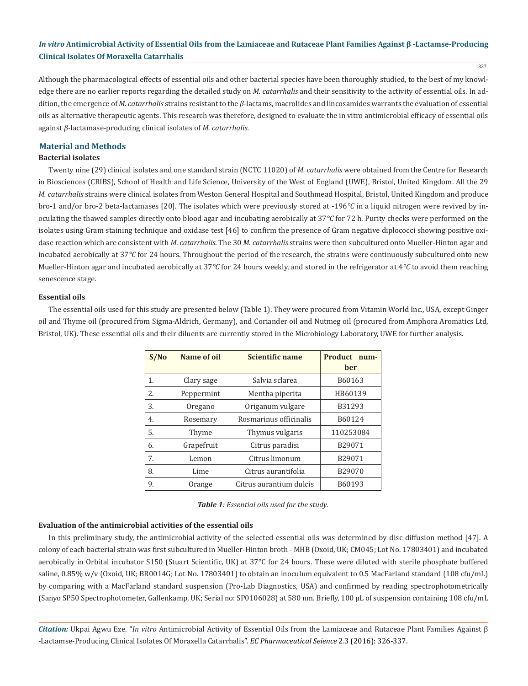327

Although the pharmacological effects of essential oils and other bacterial species have been thoroughly studied, to the best of my knowledge there are no earlier reports regarding the detailed study on *M. catarrhalis* and their sensitivity to the activity of essential oils. In addition, the emergence of *M. catarrhalis* strains resistant to the *β*-lactams, macrolides and lincosamides warrants the evaluation of essential oils as alternative therapeutic agents. This research was therefore, designed to evaluate the in vitro antimicrobial efficacy of essential oils against *β*-lactamase-producing clinical isolates of *M. catarrhalis.*

### **Material and Methods**

#### **Bacterial isolates**

Twenty nine (29) clinical isolates and one standard strain (NCTC 11020) of *M. catarrhalis* were obtained from the Centre for Research in Biosciences (CRIBS), School of Health and Life Science, University of the West of England (UWE), Bristol, United Kingdom. All the 29 *M. catarrhalis* strains were clinical isolates from Weston General Hospital and Southmead Hospital, Bristol, United Kingdom and produce bro-1 and/or bro-2 beta-lactamases [20]. The isolates which were previously stored at -196*°C* in a liquid nitrogen were revived by inoculating the thawed samples directly onto blood agar and incubating aerobically at 37*°C* for 72 h. Purity checks were performed on the isolates using Gram staining technique and oxidase test [46] to confirm the presence of Gram negative diplococci showing positive oxidase reaction which are consistent with *M. catarrhalis*. The 30 *M. catarrhalis* strains were then subcultured onto Mueller-Hinton agar and incubated aerobically at 37*°C* for 24 hours. Throughout the period of the research, the strains were continuously subcultured onto new Mueller-Hinton agar and incubated aerobically at 37*°C* for 24 hours weekly, and stored in the refrigerator at 4*°C* to avoid them reaching senescence stage.

#### **Essential oils**

The essential oils used for this study are presented below (Table 1). They were procured from Vitamin World Inc., USA, except Ginger oil and Thyme oil (procured from Sigma-Aldrich, Germany), and Coriander oil and Nutmeg oil (procured from Amphora Aromatics Ltd, Bristol, UK). These essential oils and their diluents are currently stored in the Microbiology Laboratory, UWE for further analysis.

| S/No | Name of oil | <b>Scientific name</b>  | Product<br>num-<br>ber |
|------|-------------|-------------------------|------------------------|
| 1.   | Clary sage  | Salvia sclarea          | B60163                 |
| 2.   | Peppermint  | Mentha piperita         | HB60139                |
| 3.   | Oregano     | Origanum vulgare        | B31293                 |
| 4.   | Rosemary    | Rosmarinus officinalis  | B60124                 |
| 5.   | Thyme       | Thymus vulgaris         | 110253084              |
| 6.   | Grapefruit  | Citrus paradisi         | B29071                 |
| 7.   | Lemon       | Citrus limonum          | B29071                 |
| 8.   | Lime        | Citrus aurantifolia     | B29070                 |
| 9.   | Orange      | Citrus aurantium dulcis | B60193                 |

## **Evaluation of the antimicrobial activities of the essential oils**

In this preliminary study, the antimicrobial activity of the selected essential oils was determined by disc diffusion method [47]. A colony of each bacterial strain was first subcultured in Mueller-Hinton broth - MHB (Oxoid, UK; CM045; Lot No. 17803401) and incubated aerobically in Orbital incubator S150 (Stuart Scientific, UK) at 37°C for 24 hours. These were diluted with sterile phosphate buffered saline, 0.85% w/v (Oxoid, UK; BR0014G; Lot No. 17803401) to obtain an inoculum equivalent to 0.5 MacFarland standard (108 cfu/mL) by comparing with a MacFarland standard suspension (Pro-Lab Diagnostics, USA) and confirmed by reading spectrophotometrically (Sanyo SP50 Spectrophotometer, Gallenkamp, UK; Serial no: SP0106028) at 580 nm. Briefly, 100 μL of suspension containing 108 cfu/mL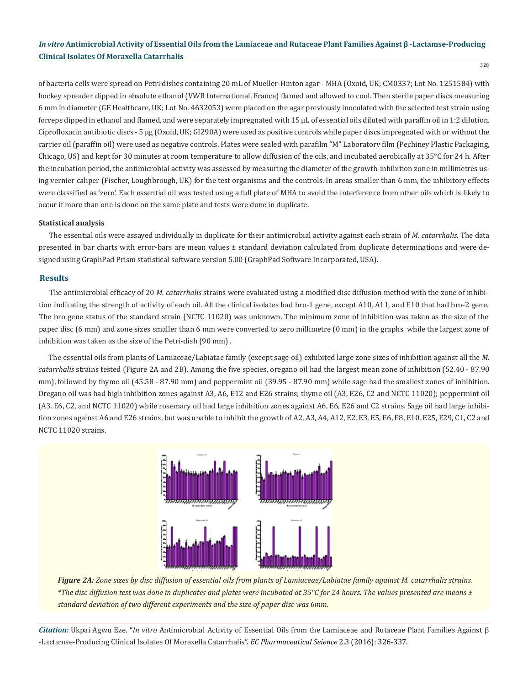of bacteria cells were spread on Petri dishes containing 20 mL of Mueller-Hinton agar - MHA (Oxoid, UK; CM0337; Lot No. 1251584) with hockey spreader dipped in absolute ethanol (VWR International, France) flamed and allowed to cool. Then sterile paper discs measuring 6 mm in diameter (GE Healthcare, UK; Lot No. 4632053) were placed on the agar previously inoculated with the selected test strain using forceps dipped in ethanol and flamed, and were separately impregnated with 15 μL of essential oils diluted with paraffin oil in 1:2 dilution. Ciprofloxacin antibiotic discs - 5 μg (Oxoid, UK; GI290A) were used as positive controls while paper discs impregnated with or without the carrier oil (paraffin oil) were used as negative controls. Plates were sealed with parafilm "M" Laboratory film (Pechiney Plastic Packaging, Chicago, US) and kept for 30 minutes at room temperature to allow diffusion of the oils, and incubated aerobically at 35°C for 24 h. After the incubation period, the antimicrobial activity was assessed by measuring the diameter of the growth-inhibition zone in millimetres using vernier caliper (Fischer, Loughbrough, UK) for the test organisms and the controls. In areas smaller than 6 mm, the inhibitory effects were classified as 'zero'. Each essential oil was tested using a full plate of MHA to avoid the interference from other oils which is likely to occur if more than one is done on the same plate and tests were done in duplicate.

#### **Statistical analysis**

The essential oils were assayed individually in duplicate for their antimicrobial activity against each strain of *M. catarrhalis*. The data presented in bar charts with error-bars are mean values ± standard deviation calculated from duplicate determinations and were designed using GraphPad Prism statistical software version 5.00 (GraphPad Software Incorporated, USA).

### **Results**

The antimicrobial efficacy of 20 *M. catarrhalis* strains were evaluated using a modified disc diffusion method with the zone of inhibition indicating the strength of activity of each oil. All the clinical isolates had bro-1 gene, except A10, A11, and E10 that had bro-2 gene. The bro gene status of the standard strain (NCTC 11020) was unknown. The minimum zone of inhibition was taken as the size of the paper disc (6 mm) and zone sizes smaller than 6 mm were converted to zero millimetre (0 mm) in the graphs while the largest zone of inhibition was taken as the size of the Petri-dish (90 mm) .

The essential oils from plants of Lamiaceae/Labiatae family (except sage oil) exhibited large zone sizes of inhibition against all the *M*. *catarrhalis* strains tested (Figure 2A and 2B). Among the five species, oregano oil had the largest mean zone of inhibition (52.40 - 87.90 mm), followed by thyme oil (45.58 - 87.90 mm) and peppermint oil (39.95 - 87.90 mm) while sage had the smallest zones of inhibition. Oregano oil was had high inhibition zones against A3, A6, E12 and E26 strains; thyme oil (A3, E26, C2 and NCTC 11020); peppermint oil (A3, E6, C2, and NCTC 11020) while rosemary oil had large inhibition zones against A6, E6, E26 and C2 strains. Sage oil had large inhibition zones against A6 and E26 strains, but was unable to inhibit the growth of A2, A3, A4, A12, E2, E3, E5, E6, E8, E10, E25, E29, C1, C2 and NCTC 11020 strains.



*Figure 2A: Zone sizes by disc diffusion of essential oils from plants of Lamiaceae/Labiatae family against M. catarrhalis strains. \*The disc diffusion test was done in duplicates and plates were incubated at 35ºC for 24 hours. The values presented are means ± standard deviation of two different experiments and the size of paper disc was 6mm.*

*Citation:* Ukpai Agwu Eze. "*In vitro* Antimicrobial Activity of Essential Oils from the Lamiaceae and Rutaceae Plant Families Against β -Lactamse-Producing Clinical Isolates Of Moraxella Catarrhalis". *EC Pharmaceutical Seience* 2.3 (2016): 326-337.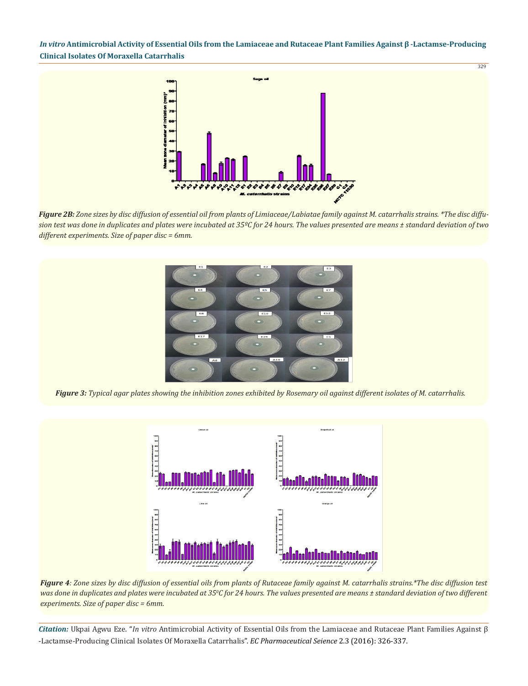329



*Figure 2B: Zone sizes by disc diffusion of essential oil from plants of Limiaceae/Labiatae family against M. catarrhalis strains. \*The disc diffusion test was done in duplicates and plates were incubated at 35ºC for 24 hours. The values presented are means ± standard deviation of two different experiments. Size of paper disc = 6mm.*



*Figure 3: Typical agar plates showing the inhibition zones exhibited by Rosemary oil against different isolates of M. catarrhalis.*



*Figure 4: Zone sizes by disc diffusion of essential oils from plants of Rutaceae family against M. catarrhalis strains.\*The disc diffusion test was done in duplicates and plates were incubated at 35<sup>0</sup> C for 24 hours. The values presented are means ± standard deviation of two different experiments. Size of paper disc = 6mm.*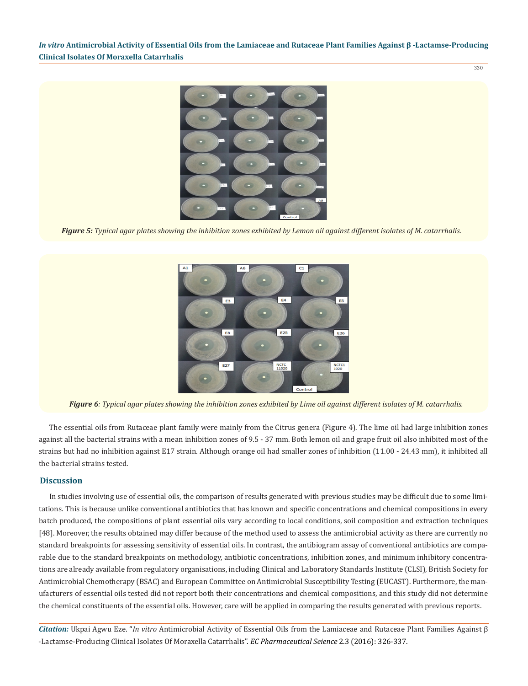330



*Figure 5: Typical agar plates showing the inhibition zones exhibited by Lemon oil against different isolates of M. catarrhalis.*



*Figure 6: Typical agar plates showing the inhibition zones exhibited by Lime oil against different isolates of M. catarrhalis.*

The essential oils from Rutaceae plant family were mainly from the Citrus genera (Figure 4). The lime oil had large inhibition zones against all the bacterial strains with a mean inhibition zones of 9.5 - 37 mm. Both lemon oil and grape fruit oil also inhibited most of the strains but had no inhibition against E17 strain. Although orange oil had smaller zones of inhibition (11.00 - 24.43 mm), it inhibited all the bacterial strains tested.

## **Discussion**

In studies involving use of essential oils, the comparison of results generated with previous studies may be difficult due to some limitations. This is because unlike conventional antibiotics that has known and specific concentrations and chemical compositions in every batch produced, the compositions of plant essential oils vary according to local conditions, soil composition and extraction techniques [48]. Moreover, the results obtained may differ because of the method used to assess the antimicrobial activity as there are currently no standard breakpoints for assessing sensitivity of essential oils. In contrast, the antibiogram assay of conventional antibiotics are comparable due to the standard breakpoints on methodology, antibiotic concentrations, inhibition zones, and minimum inhibitory concentrations are already available from regulatory organisations, including Clinical and Laboratory Standards Institute (CLSI), British Society for Antimicrobial Chemotherapy (BSAC) and European Committee on Antimicrobial Susceptibility Testing (EUCAST). Furthermore, the manufacturers of essential oils tested did not report both their concentrations and chemical compositions, and this study did not determine the chemical constituents of the essential oils. However, care will be applied in comparing the results generated with previous reports.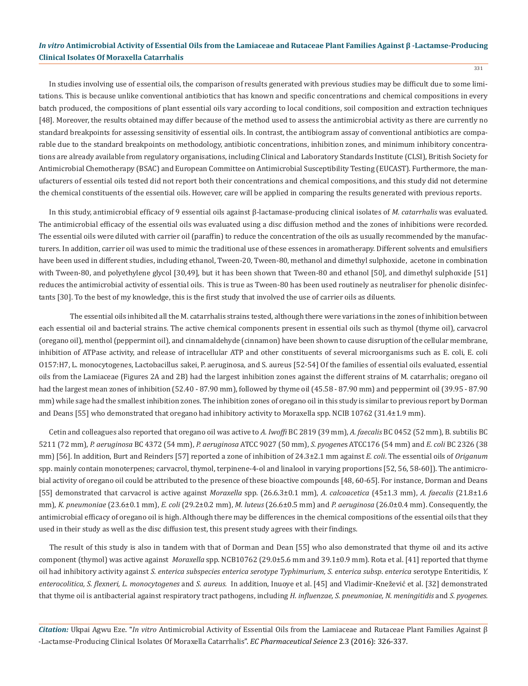In studies involving use of essential oils, the comparison of results generated with previous studies may be difficult due to some limitations. This is because unlike conventional antibiotics that has known and specific concentrations and chemical compositions in every batch produced, the compositions of plant essential oils vary according to local conditions, soil composition and extraction techniques [48]. Moreover, the results obtained may differ because of the method used to assess the antimicrobial activity as there are currently no standard breakpoints for assessing sensitivity of essential oils. In contrast, the antibiogram assay of conventional antibiotics are comparable due to the standard breakpoints on methodology, antibiotic concentrations, inhibition zones, and minimum inhibitory concentrations are already available from regulatory organisations, including Clinical and Laboratory Standards Institute (CLSI), British Society for Antimicrobial Chemotherapy (BSAC) and European Committee on Antimicrobial Susceptibility Testing (EUCAST). Furthermore, the manufacturers of essential oils tested did not report both their concentrations and chemical compositions, and this study did not determine the chemical constituents of the essential oils. However, care will be applied in comparing the results generated with previous reports.

In this study, antimicrobial efficacy of 9 essential oils against β-lactamase-producing clinical isolates of *M. catarrhalis* was evaluated. The antimicrobial efficacy of the essential oils was evaluated using a disc diffusion method and the zones of inhibitions were recorded. The essential oils were diluted with carrier oil (paraffin) to reduce the concentration of the oils as usually recommended by the manufacturers. In addition, carrier oil was used to mimic the traditional use of these essences in aromatherapy. Different solvents and emulsifiers have been used in different studies, including ethanol, Tween-20, Tween-80, methanol and dimethyl sulphoxide, acetone in combination with Tween-80, and polyethylene glycol [30,49], but it has been shown that Tween-80 and ethanol [50], and dimethyl sulphoxide [51] reduces the antimicrobial activity of essential oils. This is true as Tween-80 has been used routinely as neutraliser for phenolic disinfectants [30]. To the best of my knowledge, this is the first study that involved the use of carrier oils as diluents.

The essential oils inhibited all the M. catarrhalis strains tested, although there were variations in the zones of inhibition between each essential oil and bacterial strains. The active chemical components present in essential oils such as thymol (thyme oil), carvacrol (oregano oil), menthol (peppermint oil), and cinnamaldehyde (cinnamon) have been shown to cause disruption of the cellular membrane, inhibition of ATPase activity, and release of intracellular ATP and other constituents of several microorganisms such as E. coli, E. coli O157:H7, L. monocytogenes, Lactobacillus sakei, P. aeruginosa, and S. aureus [52-54] Of the families of essential oils evaluated, essential oils from the Lamiaceae (Figures 2A and 2B) had the largest inhibition zones against the different strains of M. catarrhalis; oregano oil had the largest mean zones of inhibition (52.40 - 87.90 mm), followed by thyme oil (45.58 - 87.90 mm) and peppermint oil (39.95 - 87.90 mm) while sage had the smallest inhibition zones. The inhibition zones of oregano oil in this study is similar to previous report by Dorman and Deans [55] who demonstrated that oregano had inhibitory activity to Moraxella spp. NCIB 10762 (31.4±1.9 mm).

Cetin and colleagues also reported that oregano oil was active to *A. Iwoffi* BC 2819 (39 mm), *A. faecalis* BC 0452 (52 mm), B. subtilis BC 5211 (72 mm), *P. aeruginosa* BC 4372 (54 mm), *P. aeruginosa* ATCC 9027 (50 mm), *S. pyogene*s ATCC176 (54 mm) and *E. coli* BC 2326 (38 mm) [56]. In addition, Burt and Reinders [57] reported a zone of inhibition of 24.3±2.1 mm against *E. coli*. The essential oils of *Origanum*  spp. mainly contain monoterpenes; carvacrol, thymol, terpinene-4-ol and linalool in varying proportions [52, 56, 58-60]). The antimicrobial activity of oregano oil could be attributed to the presence of these bioactive compounds [48, 60-65]. For instance, Dorman and Deans [55] demonstrated that carvacrol is active against *Moraxella* spp. (26.6.3±0.1 mm), *A. calcoacetica* (45±1.3 mm), *A. faecalis* (21.8±1.6 mm), *K. pneumoniae* (23.6±0.1 mm), *E. coli* (29.2±0.2 mm), *M. luteus* (26.6±0.5 mm) and *P. aeruginosa* (26.0±0.4 mm). Consequently, the antimicrobial efficacy of oregano oil is high. Although there may be differences in the chemical compositions of the essential oils that they used in their study as well as the disc diffusion test, this present study agrees with their findings.

The result of this study is also in tandem with that of Dorman and Dean [55] who also demonstrated that thyme oil and its active component (thymol) was active against *Moraxella* spp. NCB10762 (29.0±5.6 mm and 39.1±0.9 mm). Rota et al. [41] reported that thyme oil had inhibitory activity against *S. enterica subspecies enterica serotype Typhimurium, S. enterica subsp*. *enterica* serotype Enteritidis, *Y. enterocolitica, S. flexneri, L. monocytogenes* and *S. aureus.* In addition, Inuoye et al. [45] and Vladimir-Knežević et al. [32] demonstrated that thyme oil is antibacterial against respiratory tract pathogens, including *H. influenzae, S. pneumoniae, N. meningitidis* and *S. pyogenes.*

*Citation:* Ukpai Agwu Eze. "*In vitro* Antimicrobial Activity of Essential Oils from the Lamiaceae and Rutaceae Plant Families Against β -Lactamse-Producing Clinical Isolates Of Moraxella Catarrhalis". *EC Pharmaceutical Seience* 2.3 (2016): 326-337.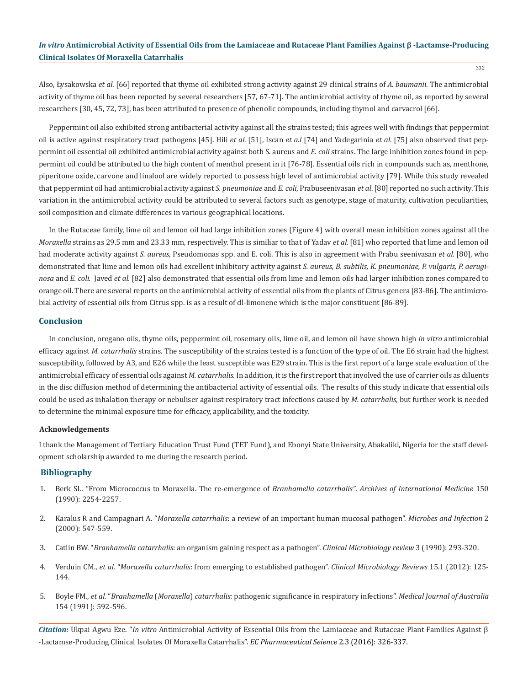Also, Łysakowska *et al*. [66] reported that thyme oil exhibited strong activity against 29 clinical strains of *A. baumanii*. The antimicrobial activity of thyme oil has been reported by several researchers [57, 67-71]. The antimicrobial activity of thyme oil, as reported by several researchers [30, 45, 72, 73], has been attributed to presence of phenolic compounds, including thymol and carvacrol [66].

Peppermint oil also exhibited strong antibacterial activity against all the strains tested; this agrees well with findings that peppermint oil is active against respiratory tract pathogens [45]. Hili *et al.* [51], Iscan *et a.l* [74] and Yadegarinia *et al*. [75] also observed that peppermint oil essential oil exhibited antimicrobial activity against both S. aureus and *E. coli* strains. The large inhibition zones found in peppermint oil could be attributed to the high content of menthol present in it [76-78]. Essential oils rich in compounds such as, menthone, piperitone oxide, carvone and linalool are widely reported to possess high level of antimicrobial activity [79]. While this study revealed that peppermint oil had antimicrobial activity against *S. pneumoniae* and *E. coli*, Prabuseenivasan *et al*. [80] reported no such activity. This variation in the antimicrobial activity could be attributed to several factors such as genotype, stage of maturity, cultivation peculiarities, soil composition and climate differences in various geographical locations.

In the Rutaceae family, lime oil and lemon oil had large inhibition zones (Figure 4) with overall mean inhibition zones against all the *Moraxella* strains as 29.5 mm and 23.33 mm, respectively. This is similiar to that of Yadav *et al.* [81] who reported that lime and lemon oil had moderate activity against *S. aureus*, Pseudomonas spp. and E. coli. This is also in agreement with Prabu seenivasan *et al.* [80], who demonstrated that lime and lemon oils had excellent inhibitory activity against *S. aureus, B. subtilis, K. pneumoniae, P. vulgaris, P. aeruginosa* and *E. coli.* Javed *et al.* [82] also demonstrated that essential oils from lime and lemon oils had larger inhibition zones compared to orange oil. There are several reports on the antimicrobial activity of essential oils from the plants of Citrus genera [83-86]. The antimicrobial activity of essential oils from Citrus spp. is as a result of dl-limonene which is the major constituent [86-89].

#### **Conclusion**

In conclusion, oregano oils, thyme oils, peppermint oil, rosemary oils, lime oil, and lemon oil have shown high *in vitro* antimicrobial efficacy against *M. catarrhalis* strains. The susceptibility of the strains tested is a function of the type of oil. The E6 strain had the highest susceptibility, followed by A3, and E26 while the least susceptible was E29 strain. This is the first report of a large scale evaluation of the antimicrobial efficacy of essential oils against *M. catarrhalis.* In addition, it is the first report that involved the use of carrier oils as diluents in the disc diffusion method of determining the antibacterial activity of essential oils. The results of this study indicate that essential oils could be used as inhalation therapy or nebuliser against respiratory tract infections caused by *M. catarrhalis*, but further work is needed to determine the minimal exposure time for efficacy, applicability, and the toxicity.

#### **Acknowledgements**

I thank the Management of Tertiary Education Trust Fund (TET Fund), and Ebonyi State University, Abakaliki, Nigeria for the staff development scholarship awarded to me during the research period.

## **Bibliography**

- 1. Berk SL. "From Micrococcus to Moraxella. The re-emergence of *Branhamella catarrhalis"*. *Archives of International Medicine* 150 (1990): 2254-2257.
- 2. Karalus R and Campagnari A. "*Moraxella catarrhalis*: a review of an important human mucosal pathogen". *Microbes and Infection* 2 (2000): 547-559.
- 3. Catlin BW. "*Branhamella catarrhalis*: an organism gaining respect as a pathogen". *Clinical Microbiology review* 3 (1990): 293-320.
- 4. Verduin CM., *et al.* "*Moraxella catarrhalis*: from emerging to established pathogen". *Clinical Microbiology Reviews* 15.1 (2012): 125- 144.
- 5. Boyle FM., *et al.* "*Branhamella* (*Moraxella*) *catarrhalis*: pathogenic significance in respiratory infections". *Medical Journal of Australia* 154 (1991): 592-596.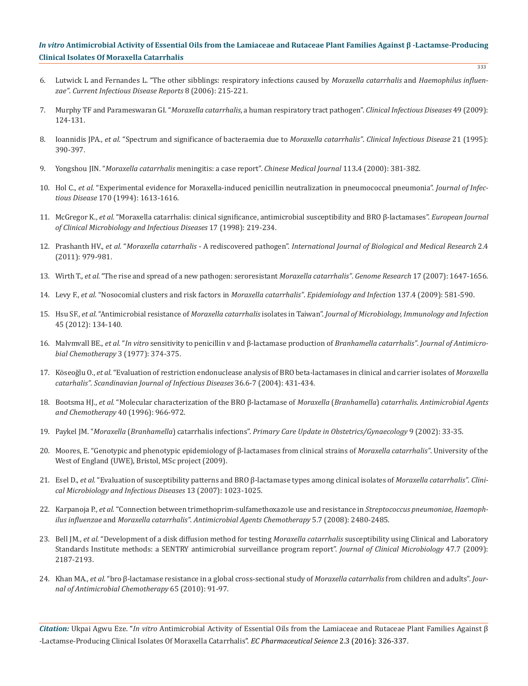- 6. Lutwick L and Fernandes L. "The other sibblings: respiratory infections caused by *Moraxella catarrhalis* and *Haemophilus influenzae"*. *Current Infectious Disease Reports* 8 (2006): 215-221.
- 7. Murphy TF and Parameswaran GI. "*Moraxella catarrhalis*, a human respiratory tract pathogen". *Clinical Infectious Diseases* 49 (2009): 124-131.
- 8. Ioannidis JPA., *et al.* "Spectrum and significance of bacteraemia due to *Moraxella catarrhalis"*. *Clinical Infectious Disease* 21 (1995): 390-397.
- 9. Yongshou JIN. "*Moraxella catarrhalis* meningitis: a case report". *Chinese Medical Journal* 113**.**4 (2000): 381-382.
- 10. Hol C., *et al.* "Experimental evidence for Moraxella-induced penicillin neutralization in pneumococcal pneumonia". *Journal of Infectious Disease* 170 (1994): 1613-1616.
- 11. McGregor K., *et al.* "Moraxella catarrhalis: clinical significance, antimicrobial susceptibility and BRO β-lactamases". *European Journal of Clinical Microbiology and Infectious Diseases* 17 (1998): 219-234.
- 12. Prashanth HV., *et al.* "*Moraxella catarrhalis* A rediscovered pathogen". *International Journal of Biological and Medical Research* 2.4 (2011): 979-981.
- 13. Wirth T., *et al.* "The rise and spread of a new pathogen: seroresistant *Moraxella catarrhalis"*. *Genome Research* 17 (2007): 1647-1656.
- 14. Levy F., *et al.* "Nosocomial clusters and risk factors in *Moraxella catarrhalis"*. *Epidemiology and Infection* 137.4 (2009): 581-590.
- 15. Hsu SF., *et al.* "Antimicrobial resistance of *Moraxella catarrhalis* isolates in Taiwan". *Journal of Microbiology, Immunology and Infection* 45 (2012): 134-140.
- 16. Malvmvall BE., *et al.* "*In vitro* sensitivity to penicillin v and β-lactamase production of *Branhamella catarrhalis"*. *Journal of Antimicrobial Chemotherapy* 3 (1977): 374-375.
- 17. Kӧseoğlu O., *et al.* "Evaluation of restriction endonuclease analysis of BRO beta-lactamases in clinical and carrier isolates of *Moraxella catarhalis"*. *Scandinavian Journal of Infectious Diseases* 36.6-7 (2004): 431-434.
- 18. Bootsma HJ., *et al.* "Molecular characterization of the BRO β-lactamase of *Moraxella* (*Branhamella*) *catarrhalis*. *Antimicrobial Agents and Chemotherapy* 40 (1996): 966-972.
- 19. Paykel JM. "*Moraxella* (*Branhamella*) catarrhalis infections". *Primary Care Update in Obstetrics/Gynaecology* 9 (2002): 33-35.
- 20. Moores, E. "Genotypic and phenotypic epidemiology of β-lactamases from clinical strains of *Moraxella catarrhalis"*. University of the West of England (UWE), Bristol, MSc project (2009).
- 21. Esel D., *et al.* "Evaluation of susceptibility patterns and BRO β-lactamase types among clinical isolates of *Moraxella catarrhalis"*. *Clinical Microbiology and Infectious Diseases* 13 (2007): 1023-1025.
- 22. Karpanoja P., *et al.* "Connection between trimethoprim-sulfamethoxazole use and resistance in *Streptococcus pneumoniae*, *Haemophilus influenzae* and *Moraxella catarrhalis"*. *Antimicrobial Agents Chemotherapy* 5.7 (2008): 2480-2485.
- 23. Bell JM., *et al.* "Development of a disk diffusion method for testing *Moraxella catarrhalis* susceptibility using Clinical and Laboratory Standards Institute methods: a SENTRY antimicrobial surveillance program report". *Journal of Clinical Microbiology* 47.7 (2009): 2187-2193.
- 24. Khan MA., *et al.* "bro β-lactamase resistance in a global cross-sectional study of *Moraxella catarrhalis* from children and adults". *Journal of Antimicrobial Chemotherapy* 65 (2010): 91-97.

*Citation:* Ukpai Agwu Eze. "*In vitro* Antimicrobial Activity of Essential Oils from the Lamiaceae and Rutaceae Plant Families Against β -Lactamse-Producing Clinical Isolates Of Moraxella Catarrhalis". *EC Pharmaceutical Seience* 2.3 (2016): 326-337.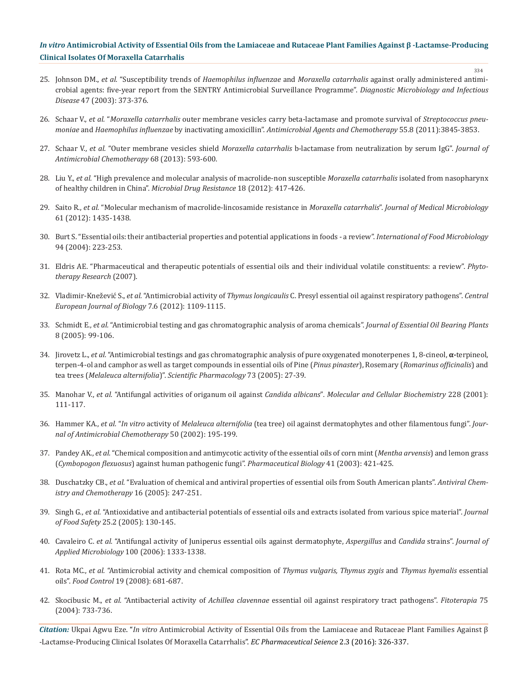- 334
- 25. Johnson DM., *et al.* "Susceptibility trends of *Haemophilus influenzae* and *Moraxella catarrhalis* against orally administered antimicrobial agents: five-year report from the SENTRY Antimicrobial Surveillance Programme". *Diagnostic Microbiology and Infectious Disease* 47 (2003): 373-376.
- 26. Schaar V., *et al.* "*Moraxella catarrhalis* outer membrane vesicles carry beta-lactamase and promote survival of *Streptococcus pneumoniae* and *Haemophilus influenzae* by inactivating amoxicillin". *Antimicrobial Agents and Chemotherapy* 55.8 (2011):3845-3853.
- 27. Schaar V., *et al.* "Outer membrane vesicles shield *Moraxella catarrhalis* b-lactamase from neutralization by serum IgG". *Journal of Antimicrobial Chemotherapy* 68 (2013): 593-600.
- 28. Liu Y., *et al.* "High prevalence and molecular analysis of macrolide-non susceptible *Moraxella catarrhalis* isolated from nasopharynx of healthy children in China". *Microbial Drug Resistance* 18 (2012): 417-426.
- 29. Saito R., *et al.* "Molecular mechanism of macrolide-lincosamide resistance in *Moraxella catarrhalis*". *Journal of Medical Microbiology* 61 (2012): 1435-1438.
- 30. Burt S. "Essential oils: their antibacterial properties and potential applications in foods a review". *International of Food Microbiology* 94 (2004): 223-253.
- 31. Eldris AE. "Pharmaceutical and therapeutic potentials of essential oils and their individual volatile constituents: a review". *Phytotherapy Research* (2007).
- 32. Vladimir-Knežević S., *et al.* "Antimicrobial activity of *Thymus longicaulis* C. Presyl essential oil against respiratory pathogens". *Central European Journal of Biology* 7.6 (2012): 1109-1115.
- 33. Schmidt E., *et al.* "Antimicrobial testing and gas chromatographic analysis of aroma chemicals". *Journal of Essential Oil Bearing Plants* 8 (2005): 99-106.
- 34. Jirovetz L., *et al.* "Antimicrobial testings and gas chromatographic analysis of pure oxygenated monoterpenes 1, 8-cineol, **α-**terpineol, terpen-4-ol and camphor as well as target compounds in essential oils of Pine (*Pinus pinaster*), Rosemary (*Romarinus officinalis*) and tea trees (*Melaleuca alternifolia*)". *Scientific Pharmacology* 73 (2005): 27-39.
- 35. Manohar V., *et al.* "Antifungal activities of origanum oil against *Candida albicans*"*. Molecular and Cellular Biochemistry* 228 (2001): 111-117.
- 36. Hammer KA., *et al.* "*In vitro* activity of *Melaleuca alternifolia* (tea tree) oil against dermatophytes and other filamentous fungi". *Journal of Antimicrobial Chemotherapy* 50 (2002): 195-199.
- 37. Pandey AK., *et al.* "Chemical composition and antimycotic activity of the essential oils of corn mint (*Mentha arvensis*) and lemon grass (*Cymbopogon flexuosus*) against human pathogenic fungi". *Pharmaceutical Biology* 41 (2003): 421-425.
- 38. Duschatzky CB., *et al.* "Evaluation of chemical and antiviral properties of essential oils from South American plants". *Antiviral Chemistry and Chemotherapy* 16 (2005): 247-251.
- 39. Singh G., *et al.* "Antioxidative and antibacterial potentials of essential oils and extracts isolated from various spice material". *Journal of Food Safety* 25.2 (2005): 130-145.
- 40. Cavaleiro C. *et al.* "Antifungal activity of Juniperus essential oils against dermatophyte, *Aspergillus* and *Candida* strains". *Journal of Applied Microbiology* 100 (2006): 1333-1338.
- 41. Rota MC., *et al.* "Antimicrobial activity and chemical composition of *Thymus vulgaris, Thymus zygis* and *Thymus hyemalis* essential oils". *Food Control* 19 (2008): 681-687.
- 42. Skocibusic M., *et al.* "Antibacterial activity of *Achillea clavennae* essential oil against respiratory tract pathogens". *Fitoterapia* 75 (2004): 733-736.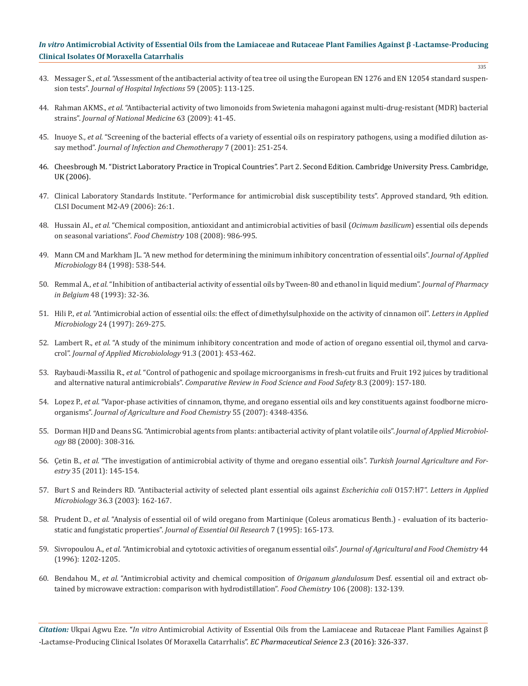- 43. Messager S., *et al.* "Assessment of the antibacterial activity of tea tree oil using the European EN 1276 and EN 12054 standard suspension tests". *Journal of Hospital Infections* 59 (2005): 113-125.
- 44. Rahman AKMS., *et al.* "Antibacterial activity of two limonoids from Swietenia mahagoni against multi-drug-resistant (MDR) bacterial strains". *Journal of National Medicine* 63 (2009): 41-45.
- 45. Inuoye S., *et al.* "Screening of the bacterial effects of a variety of essential oils on respiratory pathogens, using a modified dilution assay method". *Journal of Infection and Chemotherapy* 7 (2001): 251-254.
- 46. Cheesbrough M. "District Laboratory Practice in Tropical Countries". Part 2. Second Edition. Cambridge University Press. Cambridge, UK (2006).
- 47. Clinical Laboratory Standards Institute. "Performance for antimicrobial disk susceptibility tests". Approved standard, 9th edition. CLSI Document M2-A9 (2006): 26:1.
- 48. Hussain AI., *et al.* "Chemical composition, antioxidant and antimicrobial activities of basil (*Ocimum basilicum*) essential oils depends on seasonal variations". *Food Chemistry* 108 (2008): 986-995.
- 49. Mann CM and Markham JL. "A new method for determining the minimum inhibitory concentration of essential oils". *Journal of Applied Microbiology* 84 (1998): 538-544.
- 50. Remmal A., *et al.* "Inhibition of antibacterial activity of essential oils by Tween-80 and ethanol in liquid medium". *Journal of Pharmacy in Belgium* 48 (1993): 32-36.
- 51. Hili P., *et al.* "Antimicrobial action of essential oils: the effect of dimethylsulphoxide on the activity of cinnamon oil". *Letters in Applied Microbiology* 24 (1997): 269-275.
- 52. Lambert R., *et al.* "A study of the minimum inhibitory concentration and mode of action of oregano essential oil, thymol and carvacrol". *Journal of Applied Microbiolology* 91.3 (2001): 453-462.
- 53. Raybaudi-Massilia R., *et al.* "Control of pathogenic and spoilage microorganisms in fresh-cut fruits and Fruit 192 juices by traditional and alternative natural antimicrobials". *Comparative Review in Food Science and Food Safety* 8.3 (2009): 157-180.
- 54. Lopez P., *et al.* "Vapor-phase activities of cinnamon, thyme, and oregano essential oils and key constituents against foodborne microorganisms". *Journal of Agriculture and Food Chemistry* 55 (2007): 4348-4356.
- 55. Dorman HJD and Deans SG. "Antimicrobial agents from plants: antibacterial activity of plant volatile oils". *Journal of Applied Microbiology* 88 (2000): 308-316.
- 56. Çetin B., *et al.* "The investigation of antimicrobial activity of thyme and oregano essential oils". *Turkish Journal Agriculture and Forestry* 35 (2011): 145-154.
- 57. Burt S and Reinders RD. "Antibacterial activity of selected plant essential oils against *Escherichia coli* O157:H7". *Letters in Applied Microbiology* 36.3 (2003): 162-167.
- 58. Prudent D., *et al.* "Analysis of essential oil of wild oregano from Martinique (Coleus aromaticus Benth.) evaluation of its bacteriostatic and fungistatic properties". *Journal of Essential Oil Research* 7 (1995): 165-173.
- 59. Sivropoulou A., *et al.* "Antimicrobial and cytotoxic activities of oreganum essential oils". *Journal of Agricultural and Food Chemistry* 44 (1996): 1202-1205.
- 60. Bendahou M., *et al.* "Antimicrobial activity and chemical composition of *Origanum glandulosum* Desf. essential oil and extract obtained by microwave extraction: comparison with hydrodistillation". *Food Chemistry* 106 (2008): 132-139.

*Citation:* Ukpai Agwu Eze. "*In vitro* Antimicrobial Activity of Essential Oils from the Lamiaceae and Rutaceae Plant Families Against β -Lactamse-Producing Clinical Isolates Of Moraxella Catarrhalis". *EC Pharmaceutical Seience* 2.3 (2016): 326-337.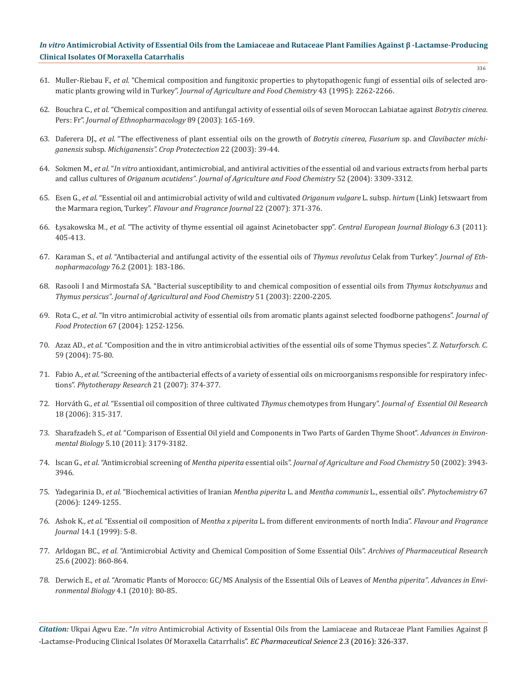- 61. Muller-Riebau F., *et al.* "Chemical composition and fungitoxic properties to phytopathogenic fungi of essential oils of selected aromatic plants growing wild in Turkey". *Journal of Agriculture and Food Chemistry* 43 (1995): 2262-2266.
- 62. Bouchra C., *et al.* "Chemical composition and antifungal activity of essential oils of seven Moroccan Labiatae against *Botrytis cinerea*. Pers: Fr". *Journal of Ethnopharmacology* 89 (2003): 165-169.
- 63. Daferera DJ., *et al.* "The effectiveness of plant essential oils on the growth of *Botrytis cinerea*, *Fusarium* sp. and *Clavibacter michiganensis* subsp. *Michiganensis". Crop Protectection* 22 (2003): 39-44.
- 64. Sokmen M., *et al.* "*In vitro* antioxidant, antimicrobial, and antiviral activities of the essential oil and various extracts from herbal parts and callus cultures of *Origanum acutidens"*. *Journal of Agriculture and Food Chemistry* 52 (2004): 3309-3312.
- 65. Esen G., *et al.* "Essential oil and antimicrobial activity of wild and cultivated *Origanum vulgare* L. subsp. *hirtum* (Link) Ietswaart from the Marmara region, Turkey". *Flavour and Fragrance Journal* 22 (2007): 371-376.
- 66. Łysakowska M., *et al.* "The activity of thyme essential oil against Acinetobacter spp". *Central European Journal Biology* 6.3 (2011): 405-413.
- 67. Karaman S., *et al.* "Antibacterial and antifungal activity of the essential oils of *Thymus revolutus* Celak from Turkey". *Journal of Ethnopharmacology* 76.2 (2001): 183-186.
- 68. Rasooli I and Mirmostafa SA. "Bacterial susceptibility to and chemical composition of essential oils from *Thymus kotschyanus* and *Thymus persicus"*. *Journal of Agricultural and Food Chemistry* 51 (2003): 2200-2205.
- 69. Rota C., *et al.* "In vitro antimicrobial activity of essential oils from aromatic plants against selected foodborne pathogens". *Journal of Food Protection* 67 (2004): 1252-1256.
- 70. Azaz AD., *et al.* "Composition and the in vitro antimicrobial activities of the essential oils of some Thymus species". *Z. Naturforsch. C*. 59 (2004): 75-80.
- 71. Fabio A., *et al.* "Screening of the antibacterial effects of a variety of essential oils on microorganisms responsible for respiratory infections". *Phytotherapy Research* 21 (2007): 374-377.
- 72. Horváth G., *et al.* "Essential oil composition of three cultivated *Thymus* chemotypes from Hungary". *Journal of Essential Oil Research* 18 (2006): 315-317.
- 73. Sharafzadeh S., *et al.* "Comparison of Essential Oil yield and Components in Two Parts of Garden Thyme Shoot". *Advances in Environmental Biology* 5.10 (2011): 3179-3182.
- 74. Iscan G., *et al.* "Antimicrobial screening of *Mentha piperita* essential oils". *Journal of Agriculture and Food Chemistry* 50 (2002): 3943- 3946.
- 75. Yadegarinia D., *et al.* "Biochemical activities of Iranian *Mentha piperita* L. and *Mentha communis* L., essential oils". *Phytochemistry* 67 (2006): 1249-1255.
- 76. Ashok K., *et al.* "Essential oil composition of *Mentha x piperita* L. from different environments of north India". *Flavour and Fragrance Journal* 14.1 (1999): 5-8.
- 77. Arldogan BC., *et al.* "Antimicrobial Activity and Chemical Composition of Some Essential Oils". *Archives of Pharmaceutical Research* 25.6 (2002): 860-864.
- 78. Derwich E., *et al.* "Aromatic Plants of Morocco: GC/MS Analysis of the Essential Oils of Leaves of *Mentha piperita"*. *Advances in Environmental Biology* 4.1 (2010): 80-85.

*Citation:* Ukpai Agwu Eze. "*In vitro* Antimicrobial Activity of Essential Oils from the Lamiaceae and Rutaceae Plant Families Against β -Lactamse-Producing Clinical Isolates Of Moraxella Catarrhalis". *EC Pharmaceutical Seience* 2.3 (2016): 326-337.